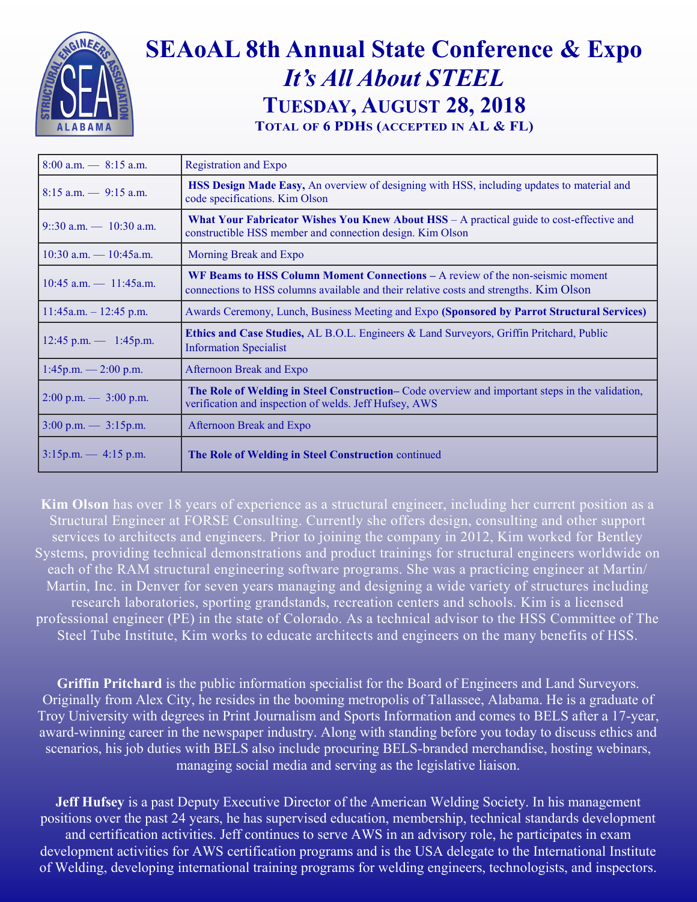

## **SEAoAL 8th Annual State Conference & Expo** *It's All About STEEL* **TUESDAY, AUGUST 28, 2018 TOTAL OF 6 PDHS (ACCEPTED IN AL & FL)**

| $8:00$ a.m. $- 8:15$ a.m.                         | <b>Registration and Expo</b>                                                                                                                                                    |
|---------------------------------------------------|---------------------------------------------------------------------------------------------------------------------------------------------------------------------------------|
| $8:15$ a.m. $-9:15$ a.m.                          | <b>HSS Design Made Easy, An overview of designing with HSS, including updates to material and</b><br>code specifications. Kim Olson                                             |
| $9::30$ a.m. $-10:30$ a.m.                        | What Your Fabricator Wishes You Knew About HSS - A practical guide to cost-effective and<br>constructible HSS member and connection design. Kim Olson                           |
| $10:30$ a.m. $- 10:45$ a.m.                       | Morning Break and Expo                                                                                                                                                          |
| $10:45$ a.m. $- 11:45$ a.m.                       | <b>WF Beams to HSS Column Moment Connections – A review of the non-seismic moment</b><br>connections to HSS columns available and their relative costs and strengths. Kim Olson |
| $11:45a.m. - 12:45 p.m.$                          | Awards Ceremony, Lunch, Business Meeting and Expo (Sponsored by Parrot Structural Services)                                                                                     |
| $12:45$ p.m. $- 1:45$ p.m.                        | <b>Ethics and Case Studies, AL B.O.L. Engineers &amp; Land Surveyors, Griffin Pritchard, Public</b><br><b>Information Specialist</b>                                            |
| $1:45p.m. - 2:00 p.m.$                            | Afternoon Break and Expo                                                                                                                                                        |
| $2:00 \text{ p.m.} \rightarrow 3:00 \text{ p.m.}$ | The Role of Welding in Steel Construction–Code overview and important steps in the validation,<br>verification and inspection of welds. Jeff Hufsey, AWS                        |
| $3:00 \text{ p.m.} \rightarrow 3:15 \text{ p.m.}$ | <b>Afternoon Break and Expo</b>                                                                                                                                                 |
| $3:15p.m. - 4:15p.m.$                             | The Role of Welding in Steel Construction continued                                                                                                                             |

**Kim Olson** has over 18 years of experience as a structural engineer, including her current position as a Structural Engineer at FORSE Consulting. Currently she offers design, consulting and other support services to architects and engineers. Prior to joining the company in 2012, Kim worked for Bentley Systems, providing technical demonstrations and product trainings for structural engineers worldwide on each of the RAM structural engineering software programs. She was a practicing engineer at Martin/ Martin, Inc. in Denver for seven years managing and designing a wide variety of structures including research laboratories, sporting grandstands, recreation centers and schools. Kim is a licensed professional engineer (PE) in the state of Colorado. As a technical advisor to the HSS Committee of The Steel Tube Institute, Kim works to educate architects and engineers on the many benefits of HSS.

**Griffin Pritchard** is the public information specialist for the Board of Engineers and Land Surveyors. Originally from Alex City, he resides in the booming metropolis of Tallassee, Alabama. He is a graduate of Troy University with degrees in Print Journalism and Sports Information and comes to BELS after a 17-year, award-winning career in the newspaper industry. Along with standing before you today to discuss ethics and scenarios, his job duties with BELS also include procuring BELS-branded merchandise, hosting webinars, managing social media and serving as the legislative liaison.

**Jeff Hufsey** is a past Deputy Executive Director of the American Welding Society. In his management positions over the past 24 years, he has supervised education, membership, technical standards development and certification activities. Jeff continues to serve AWS in an advisory role, he participates in exam development activities for AWS certification programs and is the USA delegate to the International Institute of Welding, developing international training programs for welding engineers, technologists, and inspectors.